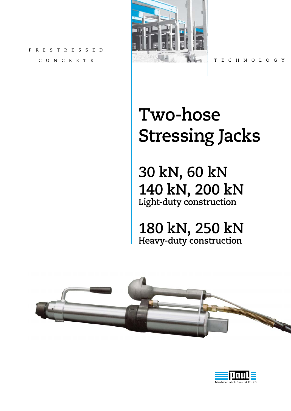PRESTRESS CONCRETE



TECHNOLOGY

# **Two-hose Stressing Jacks**

**30 kN, 60 kN 140 kN, 200 kN Light-duty construction**

**180 kN, 250 kN Heavy-duty construction**



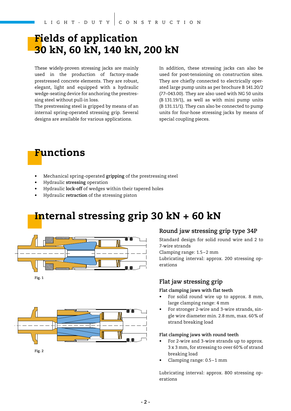### **Fields of application 30 kN, 60 kN, 140 kN, 200 kN**

These widely-proven stressing jacks are mainly used in the production of factory-made prestressed concrete elements. They are robust, elegant, light and equipped with a hydraulic wedge-seating device for anchoring the prestressing steel without pull-in loss.

The prestressing steel is gripped by means of an internal spring-operated stressing grip. Several designs are available for various applications.

In addition, these stressing jacks can also be used for post-tensioning on construction sites. They are chiefly connected to electrically operated large pump units as per brochure B 141.20/2 (77–043.00). They are also used with NG 50 units (B 131.19/1), as well as with mini pump units (B 131.11/1). They can also be connected to pump units for four-hose stressing jacks by means of special coupling pieces.



- Mechanical spring-operated **gripping** of the prestressing steel
- Hydraulic **stressing** operation
- Hydraulic **lock-off** of wedges within their tapered holes
- Hydraulic **retraction** of the stressing piston

### **Internal stressing grip 30 kN + 60 kN**





#### **Round jaw stressing grip type 34P**

Standard design for solid round wire and 2 to 7-wire strands

Clamping range: 1.5-2 mm

Lubricating interval: approx. 200 stressing operations

### **Flat jaw stressing grip**

#### **Flat clamping jaws with flat teeth**

- For solid round wire up to approx. 8 mm, large clamping range: 4 mm
- For stronger 2-wire and 3-wire strands, single wire diameter min. 2.8 mm, max. 60 % of strand breaking load

#### **Flat clamping jaws with round teeth**

- For 2-wire and 3-wire strands up to approx. 3 x 3 mm, for stressing to over 60 % of strand breaking load
- Clamping range: 0.5 1 mm

Lubricating interval: approx. 800 stressing operations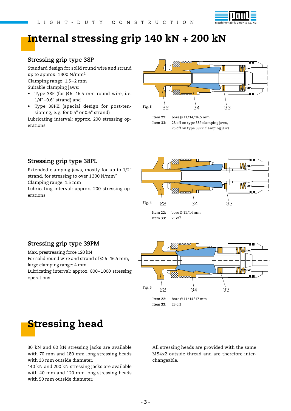

### **Internal stressing grip 140 kN + 200 kN**

#### **Stressing grip type 38P**

Standard design for solid round wire and strand up to approx. 1 300 N/mm<sup>2</sup> Clamping range: 1.5 – 2 mm Suitable clamping jaws:

- Type 38P (for  $\emptyset$ 6-16.5 mm round wire, i.e.  $1/4" - 0.6"$  strand) and
- Type 38PK (special design for post-tensioning, e. g. for 0.5" or 0.6" strand)

Lubricating interval: approx. 200 stressing operations



 <sup>25</sup> off on type 38PK clamping jaws

### **Stressing grip type 38PL**

Extended clamping jaws, mostly for up to 1/2" strand, for stressing to over 1 300 N/mm<sup>2</sup> Clamping range: 1.5 mm Lubricating interval: approx. 200 stressing operations



### **Stressing grip type 39PM**

Max. prestressing force 120 kN

For solid round wire and strand of  $\emptyset$  6-16.5 mm, large clamping range: 4 mm

Lubricating interval: approx. 800-1000 stressing operations



### **Stressing head**

30 kN and 60 kN stressing jacks are available with 70 mm and 180 mm long stressing heads with 33 mm outside diameter.

140 kN and 200 kN stressing jacks are available with 40 mm and 120 mm long stressing heads with 50 mm outside diameter.

All stressing heads are provided with the same M 54x2 outside thread and are therefore interchangeable.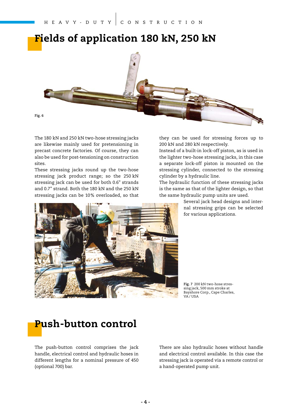# **Fields of application 180 kN, 250 kN**



The 180 kN and 250 kN two-hose stressing jacks are likewise mainly used for pretensioning in precast concrete factories. Of course, they can also be used for post-tensioning on construction sites.

These stressing jacks round up the two-hose stressing jack product range; so the 250 kN stressing jack can be used for both 0.6" strands and 0.7" strand. Both the 180 kN and the 250 kN stressing jacks can be 10 % overloaded, so that



they can be used for stressing forces up to 200 kN and 280 kN respectively.

Instead of a built-in lock-off piston, as is used in the lighter two-hose stressing jacks, in this case a separate lock-off piston is mounted on the stressing cylinder, connected to the stressing cylinder by a hydraulic line.

The hydraulic function of these stressing jacks is the same as that of the lighter design, so that the same hydraulic pump units are used.

> Several jack head designs and internal stressing grips can be selected for various applications.

**Fig. 7** 200 kN two-hose stressing jack, 500 mm stroke at Bayshore Corp., Cape Charles, VA / USA

# **Push-button control**

The push-button control comprises the jack handle, electrical control and hydraulic hoses in different lengths for a nominal pressure of 450 (optional 700) bar.

There are also hydraulic hoses without handle and electrical control available. In this case the stressing jack is operated via a remote control or a hand-operated pump unit.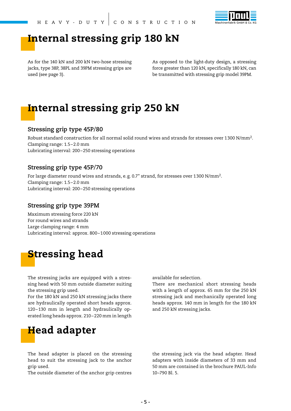

### **Internal stressing grip 180 kN**

As for the 140 kN and 200 kN two-hose stressing jacks, type 38P, 38PL and 39PM stressing grips are used (see page 3).

As opposed to the light-duty design, a stressing force greater than 120 kN, specifically 180 kN, can be transmitted with stressing grip model 39PM.

### **Internal stressing grip 250 kN**

#### **Stressing grip type 45P/80**

Robust standard construction for all normal solid round wires and strands for stresses over 1 300 N/mm2. Clamping range: 1.5 – 2.0 mm Lubricating interval: 200 – 250 stressing operations

#### **Stressing grip type 45P/70**

For large diameter round wires and strands, e.g. 0.7" strand, for stresses over 1300 N/mm<sup>2</sup>. Clamping range: 1.5 – 2.0 mm Lubricating interval: 200 – 250 stressing operations

#### **Stressing grip type 39PM**

Maximum stressing force 220 kN For round wires and strands Large clamping range: 4 mm Lubricating interval: approx. 800 – 1 000 stressing operations

### **Stressing head**

The stressing jacks are equipped with a stressing head with 50 mm outside diameter suiting the stressing grip used.

For the 180 kN and 250 kN stressing jacks there are hydraulically operated short heads approx. 120 – 130 mm in length and hydraulically operated long heads approx. 210 – 220 mm in length

#### available for selection.

There are mechanical short stressing heads with a length of approx. 65 mm for the 250 kN stressing jack and mechanically operated long heads approx. 140 mm in length for the 180 kN and 250 kN stressing jacks.

### **Head adapter**

The head adapter is placed on the stressing head to suit the stressing jack to the anchor grip used.

The outside diameter of the anchor grip centres

the stressing jack via the head adapter. Head adapters with inside diameters of 33 mm and 50 mm are contained in the brochure PAUL-Info 10–790 Bl. 5.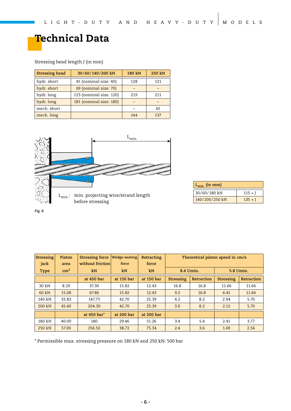# **Technical Data**

#### Stressing head length J (in mm)

| <b>Stressing head</b> | 30/60/140/200 kN        | 180 kN | 250 kN |  |
|-----------------------|-------------------------|--------|--------|--|
| hydr. short           | 45 (nominal size: 40)   | 128    | 121    |  |
| hydr. short           | 69 (nominal size: 70)   |        |        |  |
| hydr. long            | 123 (nominal size: 120) | 219    | 211    |  |
| hydr. long            | 181 (nominal size: 180) |        |        |  |
| mech. short           |                         |        | 65     |  |
| mech. long            |                         | 144    | 137    |  |



| $L_{min.}$ (in mm) |           |  |  |  |  |  |  |  |  |
|--------------------|-----------|--|--|--|--|--|--|--|--|
| 30/60/180 kN       | $115 + J$ |  |  |  |  |  |  |  |  |
| 140/200/250 kN     | $135 + J$ |  |  |  |  |  |  |  |  |

**Fig. 8**

| Stressing   | Piston     | <b>Stressing force</b> | <b>Wedge-seating</b> | Retracting | Theoretical piston speed in cm/s |            |            |            |  |  |
|-------------|------------|------------------------|----------------------|------------|----------------------------------|------------|------------|------------|--|--|
| jack        | area       | without friction       | force                | force      |                                  |            |            |            |  |  |
| <b>Type</b> | $\rm cm^2$ | kN                     | kN                   | kN         | 8.4 l/min.                       |            | 5.8 l/min. |            |  |  |
|             |            | at 450 bar             | at 150 bar           | at 150 bar | Stressing                        | Retraction | Stressing  | Retraction |  |  |
| 30 kN       | 8.29       | 37.30                  | 15.82                | 12.43      | 16.8                             | 16.8       | 11.66      | 11.66      |  |  |
| 60 kN       | 15.08      | 67.86                  | 15.82                | 12.43      | 9.2                              | 16.8       | 6.41       | 11.66      |  |  |
| 140 kN      | 32.83      | 147.73                 | 42.70                | 25.39      | 4.2<br>8.2                       |            | 2.94       | 5.70       |  |  |
| 200 kN      | 45.40      | 204.30                 | 42.70                | 25.39      | 3.0                              | 8.2        | 2.12       | 5.70       |  |  |
|             |            | at 450 bar*            | at 200 bar           | at 200 bar |                                  |            |            |            |  |  |
| 180 kN      | 40.00      | 180                    | 29.46                | 51.26      | 3.4                              | 5.4        | 2.41       | 3.77       |  |  |
| 250 kN      | 57.00      | 256.50                 | 38.72                | 75.34      | 2.4                              | 3.6        | 1.69       | 2.56       |  |  |

\* Permissible max. stressing pressure on 180 kN and 250 kN: 500 bar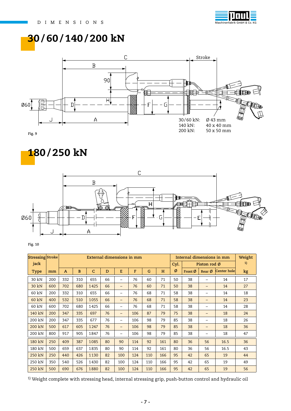

### **30 / 60 / 140 / 200 kN**



**180 / 250 kN**



**Fig. 10**

| <b>Stressing Stroke</b> |     | External dimensions in mm |     |              |    |                          |     |     |     | Internal dimensions in mm |              |                  |             | Weight |
|-------------------------|-----|---------------------------|-----|--------------|----|--------------------------|-----|-----|-----|---------------------------|--------------|------------------|-------------|--------|
| jack                    |     |                           |     |              |    |                          |     |     |     | Cyl.                      | Piston rod Ø |                  |             | 1)     |
| <b>Type</b>             | mm  | $\mathbf{A}$              | B   | $\mathsf{C}$ | D  | E                        | F   | G   | H   | Ø                         | Front Ø      | Rear $\emptyset$ | Center hole | kg     |
| 30 kN                   | 200 | 332                       | 310 | 655          | 66 | $\overline{\phantom{0}}$ | 76  | 60  | 71  | 50                        | 38           | -                | 14          | 17     |
| 30 kN                   | 600 | 702                       | 680 | 1425         | 66 | $\qquad \qquad -$        | 76  | 60  | 71  | 50                        | 38           | -                | 14          | 27     |
| 60 kN                   | 200 | 332                       | 310 | 655          | 66 | -                        | 76  | 68  | 71  | 58                        | 38           | -                | 14          | 18     |
| 60 kN                   | 400 | 532                       | 510 | 1055         | 66 | -                        | 76  | 68  | 71  | 58                        | 38           | -                | 14          | 23     |
| 60 kN                   | 600 | 702                       | 680 | 1425         | 66 | $\qquad \qquad -$        | 76  | 68  | 71  | 58                        | 38           | -                | 14          | 28     |
| 140 kN                  | 200 | 347                       | 335 | 697          | 76 | -                        | 106 | 87  | 79  | 75                        | 38           | -                | 18          | 24     |
| 200 kN                  | 200 | 347                       | 335 | 677          | 76 | -                        | 106 | 98  | 79  | 85                        | 38           | -                | 18          | 26     |
| 200 kN                  | 500 | 617                       | 605 | 1247         | 76 | -                        | 106 | 98  | 79  | 85                        | 38           | -                | 18          | 36     |
| 200 kN                  | 800 | 917                       | 905 | 1847         | 76 | $\qquad \qquad -$        | 106 | 98  | 79  | 85                        | 38           | -                | 18          | 47     |
| 180 kN                  | 250 | 409                       | 387 | 1085         | 80 | 90                       | 114 | 92  | 161 | 80                        | 36           | 56               | 16.5        | 36     |
| 180 kN                  | 500 | 659                       | 637 | 1835         | 80 | 90                       | 114 | 92  | 161 | 80                        | 36           | 56               | 16.5        | 43     |
| 250 kN                  | 250 | 440                       | 426 | 1130         | 82 | 100                      | 124 | 110 | 166 | 95                        | 42           | 65               | 19          | 44     |
| 250 kN                  | 350 | 540                       | 526 | 1430         | 82 | 100                      | 124 | 110 | 166 | 95                        | 42           | 65               | 19          | 49     |
| 250 kN                  | 500 | 690                       | 676 | 1880         | 82 | 100                      | 124 | 110 | 166 | 95                        | 42           | 65               | 19          | 56     |

<sup>1)</sup> Weight complete with stressing head, internal stressing grip, push-button control and hydraulic oil